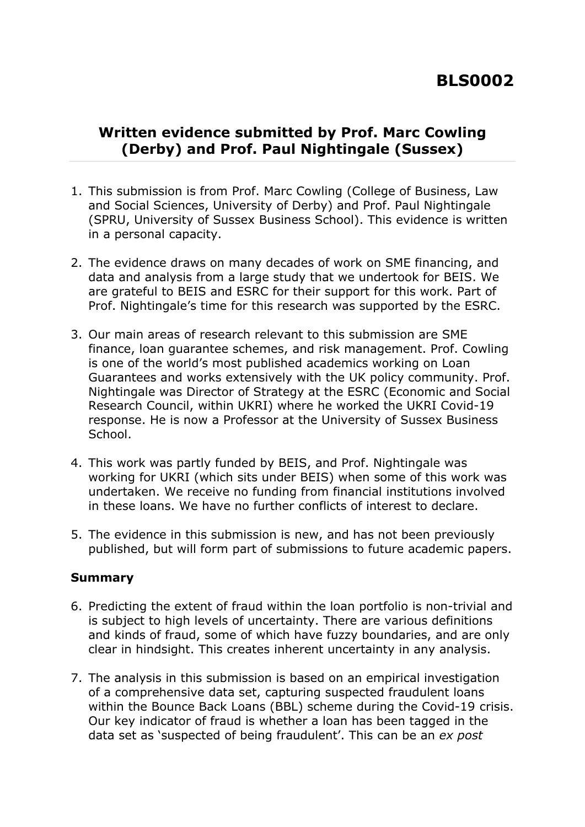## **Written evidence submitted by Prof. Marc Cowling (Derby) and Prof. Paul Nightingale (Sussex)**

- 1. This submission is from Prof. Marc Cowling (College of Business, Law and Social Sciences, University of Derby) and Prof. Paul Nightingale (SPRU, University of Sussex Business School). This evidence is written in a personal capacity.
- 2. The evidence draws on many decades of work on SME financing, and data and analysis from a large study that we undertook for BEIS. We are grateful to BEIS and ESRC for their support for this work. Part of Prof. Nightingale's time for this research was supported by the ESRC.
- 3. Our main areas of research relevant to this submission are SME finance, loan guarantee schemes, and risk management. Prof. Cowling is one of the world's most published academics working on Loan Guarantees and works extensively with the UK policy community. Prof. Nightingale was Director of Strategy at the ESRC (Economic and Social Research Council, within UKRI) where he worked the UKRI Covid-19 response. He is now a Professor at the University of Sussex Business School.
- 4. This work was partly funded by BEIS, and Prof. Nightingale was working for UKRI (which sits under BEIS) when some of this work was undertaken. We receive no funding from financial institutions involved in these loans. We have no further conflicts of interest to declare.
- 5. The evidence in this submission is new, and has not been previously published, but will form part of submissions to future academic papers.

#### **Summary**

- 6. Predicting the extent of fraud within the loan portfolio is non-trivial and is subject to high levels of uncertainty. There are various definitions and kinds of fraud, some of which have fuzzy boundaries, and are only clear in hindsight. This creates inherent uncertainty in any analysis.
- 7. The analysis in this submission is based on an empirical investigation of a comprehensive data set, capturing suspected fraudulent loans within the Bounce Back Loans (BBL) scheme during the Covid-19 crisis. Our key indicator of fraud is whether a loan has been tagged in the data set as 'suspected of being fraudulent'. This can be an *ex post*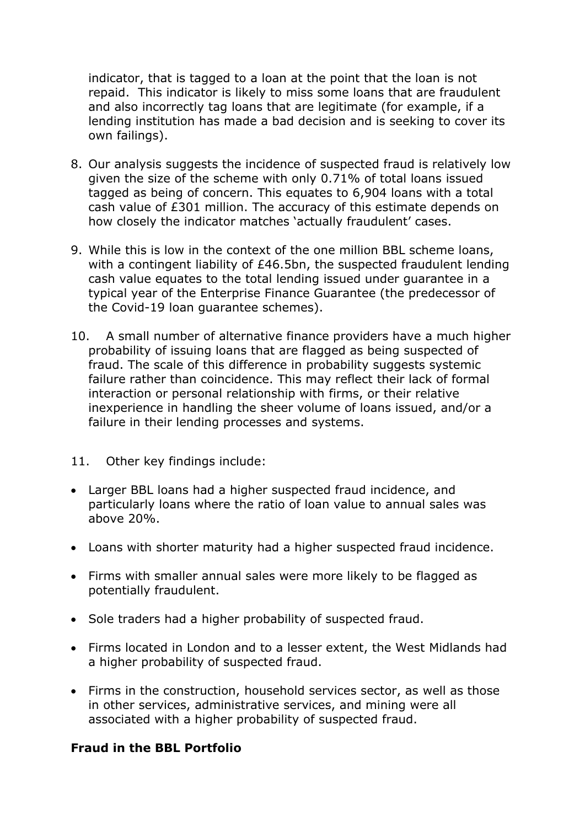indicator, that is tagged to a loan at the point that the loan is not repaid. This indicator is likely to miss some loans that are fraudulent and also incorrectly tag loans that are legitimate (for example, if a lending institution has made a bad decision and is seeking to cover its own failings).

- 8. Our analysis suggests the incidence of suspected fraud is relatively low given the size of the scheme with only 0.71% of total loans issued tagged as being of concern. This equates to 6,904 loans with a total cash value of £301 million. The accuracy of this estimate depends on how closely the indicator matches 'actually fraudulent' cases.
- 9. While this is low in the context of the one million BBL scheme loans, with a contingent liability of £46.5bn, the suspected fraudulent lending cash value equates to the total lending issued under guarantee in a typical year of the Enterprise Finance Guarantee (the predecessor of the Covid-19 loan guarantee schemes).
- 10. A small number of alternative finance providers have a much higher probability of issuing loans that are flagged as being suspected of fraud. The scale of this difference in probability suggests systemic failure rather than coincidence. This may reflect their lack of formal interaction or personal relationship with firms, or their relative inexperience in handling the sheer volume of loans issued, and/or a failure in their lending processes and systems.
- 11. Other key findings include:
- Larger BBL loans had a higher suspected fraud incidence, and particularly loans where the ratio of loan value to annual sales was above 20%.
- Loans with shorter maturity had a higher suspected fraud incidence.
- Firms with smaller annual sales were more likely to be flagged as potentially fraudulent.
- Sole traders had a higher probability of suspected fraud.
- Firms located in London and to a lesser extent, the West Midlands had a higher probability of suspected fraud.
- Firms in the construction, household services sector, as well as those in other services, administrative services, and mining were all associated with a higher probability of suspected fraud.

#### **Fraud in the BBL Portfolio**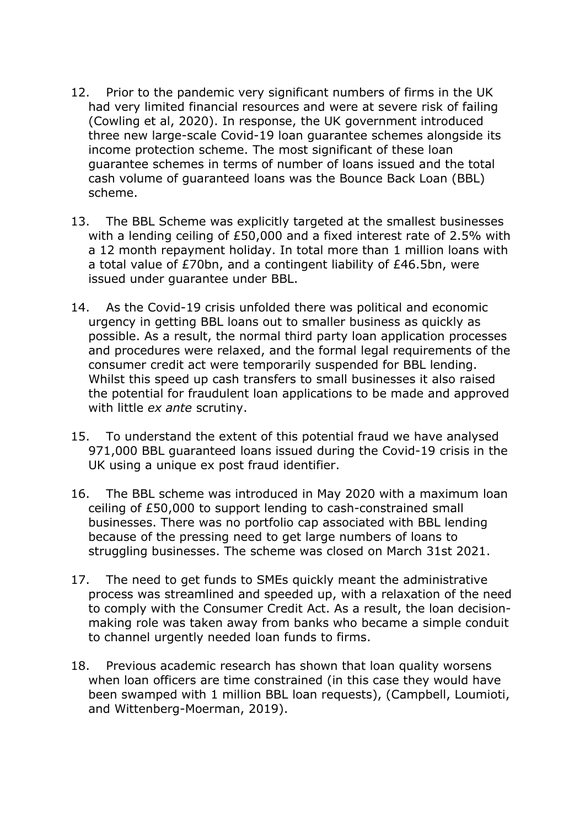- 12. Prior to the pandemic very significant numbers of firms in the UK had very limited financial resources and were at severe risk of failing (Cowling et al, 2020). In response, the UK government introduced three new large-scale Covid-19 loan guarantee schemes alongside its income protection scheme. The most significant of these loan guarantee schemes in terms of number of loans issued and the total cash volume of guaranteed loans was the Bounce Back Loan (BBL) scheme.
- 13. The BBL Scheme was explicitly targeted at the smallest businesses with a lending ceiling of £50,000 and a fixed interest rate of 2.5% with a 12 month repayment holiday. In total more than 1 million loans with a total value of £70bn, and a contingent liability of £46.5bn, were issued under guarantee under BBL.
- 14. As the Covid-19 crisis unfolded there was political and economic urgency in getting BBL loans out to smaller business as quickly as possible. As a result, the normal third party loan application processes and procedures were relaxed, and the formal legal requirements of the consumer credit act were temporarily suspended for BBL lending. Whilst this speed up cash transfers to small businesses it also raised the potential for fraudulent loan applications to be made and approved with little *ex ante* scrutiny.
- 15. To understand the extent of this potential fraud we have analysed 971,000 BBL guaranteed loans issued during the Covid-19 crisis in the UK using a unique ex post fraud identifier.
- 16. The BBL scheme was introduced in May 2020 with a maximum loan ceiling of £50,000 to support lending to cash-constrained small businesses. There was no portfolio cap associated with BBL lending because of the pressing need to get large numbers of loans to struggling businesses. The scheme was closed on March 31st 2021.
- 17. The need to get funds to SMEs quickly meant the administrative process was streamlined and speeded up, with a relaxation of the need to comply with the Consumer Credit Act. As a result, the loan decisionmaking role was taken away from banks who became a simple conduit to channel urgently needed loan funds to firms.
- 18. Previous academic research has shown that loan quality worsens when loan officers are time constrained (in this case they would have been swamped with 1 million BBL loan requests), (Campbell, Loumioti, and Wittenberg-Moerman, 2019).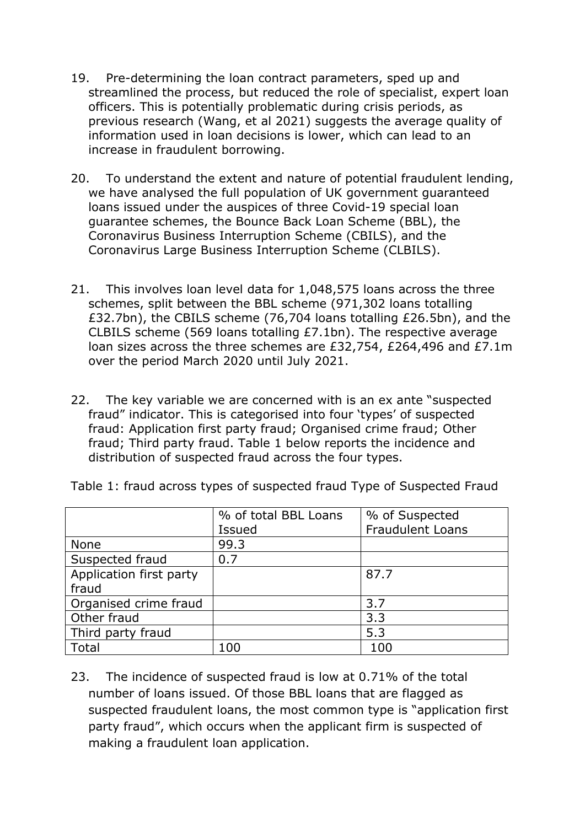- 19. Pre-determining the loan contract parameters, sped up and streamlined the process, but reduced the role of specialist, expert loan officers. This is potentially problematic during crisis periods, as previous research (Wang, et al 2021) suggests the average quality of information used in loan decisions is lower, which can lead to an increase in fraudulent borrowing.
- 20. To understand the extent and nature of potential fraudulent lending, we have analysed the full population of UK government guaranteed loans issued under the auspices of three Covid-19 special loan guarantee schemes, the Bounce Back Loan Scheme (BBL), the Coronavirus Business Interruption Scheme (CBILS), and the Coronavirus Large Business Interruption Scheme (CLBILS).
- 21. This involves loan level data for 1,048,575 loans across the three schemes, split between the BBL scheme (971,302 loans totalling £32.7bn), the CBILS scheme (76,704 loans totalling £26.5bn), and the CLBILS scheme (569 loans totalling £7.1bn). The respective average loan sizes across the three schemes are £32,754, £264,496 and £7.1m over the period March 2020 until July 2021.
- 22. The key variable we are concerned with is an ex ante "suspected fraud" indicator. This is categorised into four 'types' of suspected fraud: Application first party fraud; Organised crime fraud; Other fraud; Third party fraud. Table 1 below reports the incidence and distribution of suspected fraud across the four types.

|                         | % of total BBL Loans | % of Suspected          |
|-------------------------|----------------------|-------------------------|
|                         | <b>Issued</b>        | <b>Fraudulent Loans</b> |
| <b>None</b>             | 99.3                 |                         |
| Suspected fraud         | 0.7                  |                         |
| Application first party |                      | 87.7                    |
| fraud                   |                      |                         |
| Organised crime fraud   |                      | 3.7                     |
| Other fraud             |                      | 3.3                     |
| Third party fraud       |                      | 5.3                     |
| Total                   | 100                  | 100                     |

Table 1: fraud across types of suspected fraud Type of Suspected Fraud

23. The incidence of suspected fraud is low at 0.71% of the total number of loans issued. Of those BBL loans that are flagged as suspected fraudulent loans, the most common type is "application first party fraud", which occurs when the applicant firm is suspected of making a fraudulent loan application.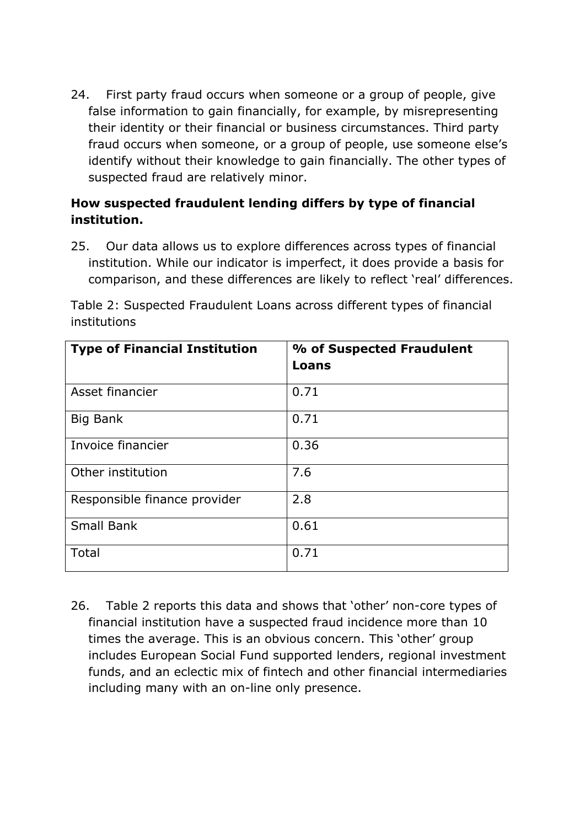24. First party fraud occurs when someone or a group of people, give false information to gain financially, for example, by misrepresenting their identity or their financial or business circumstances. Third party fraud occurs when someone, or a group of people, use someone else's identify without their knowledge to gain financially. The other types of suspected fraud are relatively minor.

#### **How suspected fraudulent lending differs by type of financial institution.**

25. Our data allows us to explore differences across types of financial institution. While our indicator is imperfect, it does provide a basis for comparison, and these differences are likely to reflect 'real' differences.

Table 2: Suspected Fraudulent Loans across different types of financial institutions

| <b>Type of Financial Institution</b> | % of Suspected Fraudulent<br>Loans |
|--------------------------------------|------------------------------------|
| Asset financier                      | 0.71                               |
| Big Bank                             | 0.71                               |
| Invoice financier                    | 0.36                               |
| Other institution                    | 7.6                                |
| Responsible finance provider         | 2.8                                |
| <b>Small Bank</b>                    | 0.61                               |
| Total                                | 0.71                               |

26. Table 2 reports this data and shows that 'other' non-core types of financial institution have a suspected fraud incidence more than 10 times the average. This is an obvious concern. This 'other' group includes European Social Fund supported lenders, regional investment funds, and an eclectic mix of fintech and other financial intermediaries including many with an on-line only presence.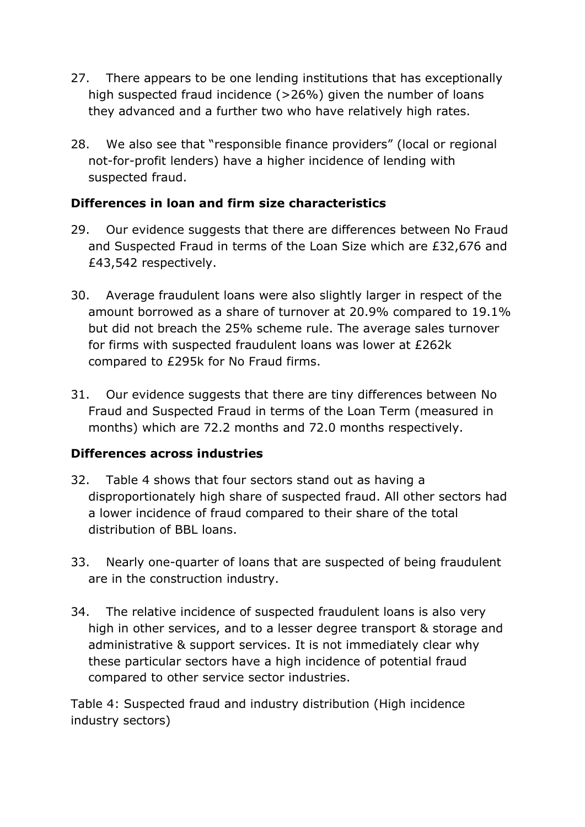- 27. There appears to be one lending institutions that has exceptionally high suspected fraud incidence (>26%) given the number of loans they advanced and a further two who have relatively high rates.
- 28. We also see that "responsible finance providers" (local or regional not-for-profit lenders) have a higher incidence of lending with suspected fraud.

#### **Differences in loan and firm size characteristics**

- 29. Our evidence suggests that there are differences between No Fraud and Suspected Fraud in terms of the Loan Size which are £32,676 and £43,542 respectively.
- 30. Average fraudulent loans were also slightly larger in respect of the amount borrowed as a share of turnover at 20.9% compared to 19.1% but did not breach the 25% scheme rule. The average sales turnover for firms with suspected fraudulent loans was lower at £262k compared to £295k for No Fraud firms.
- 31. Our evidence suggests that there are tiny differences between No Fraud and Suspected Fraud in terms of the Loan Term (measured in months) which are 72.2 months and 72.0 months respectively.

## **Differences across industries**

- 32. Table 4 shows that four sectors stand out as having a disproportionately high share of suspected fraud. All other sectors had a lower incidence of fraud compared to their share of the total distribution of BBL loans.
- 33. Nearly one-quarter of loans that are suspected of being fraudulent are in the construction industry.
- 34. The relative incidence of suspected fraudulent loans is also very high in other services, and to a lesser degree transport & storage and administrative & support services. It is not immediately clear why these particular sectors have a high incidence of potential fraud compared to other service sector industries.

Table 4: Suspected fraud and industry distribution (High incidence industry sectors)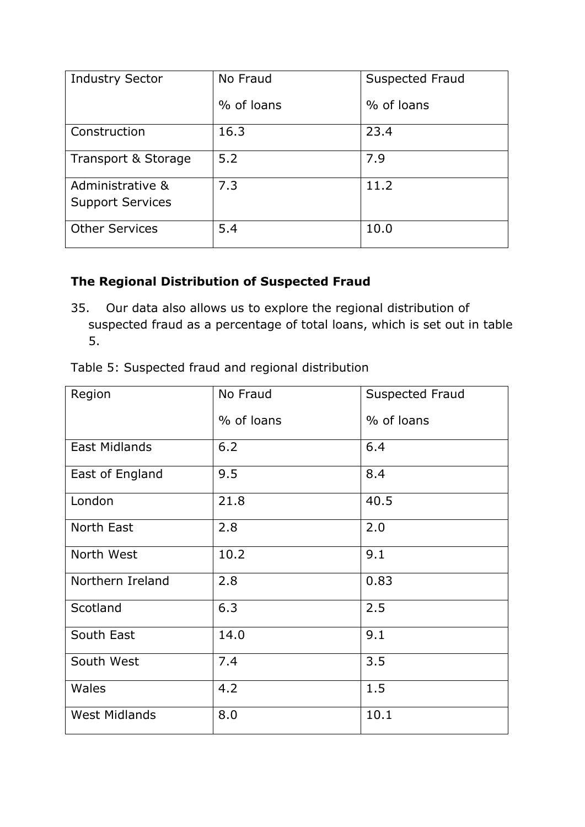| <b>Industry Sector</b>                      | No Fraud   | Suspected Fraud |
|---------------------------------------------|------------|-----------------|
|                                             | % of loans | % of loans      |
| Construction                                | 16.3       | 23.4            |
| Transport & Storage                         | 5.2        | 7.9             |
| Administrative &<br><b>Support Services</b> | 7.3        | 11.2            |
| <b>Other Services</b>                       | 5.4        | 10.0            |

# **The Regional Distribution of Suspected Fraud**

35. Our data also allows us to explore the regional distribution of suspected fraud as a percentage of total loans, which is set out in table 5.

| Region               | No Fraud   | <b>Suspected Fraud</b> |
|----------------------|------------|------------------------|
|                      | % of loans | % of loans             |
| East Midlands        | $6.2$      | 6.4                    |
| East of England      | 9.5        | 8.4                    |
| London               | 21.8       | 40.5                   |
| North East           | 2.8        | 2.0                    |
| North West           | 10.2       | 9.1                    |
| Northern Ireland     | 2.8        | 0.83                   |
| Scotland             | 6.3        | 2.5                    |
| South East           | 14.0       | 9.1                    |
| South West           | 7.4        | 3.5                    |
| Wales                | 4.2        | 1.5                    |
| <b>West Midlands</b> | 8.0        | 10.1                   |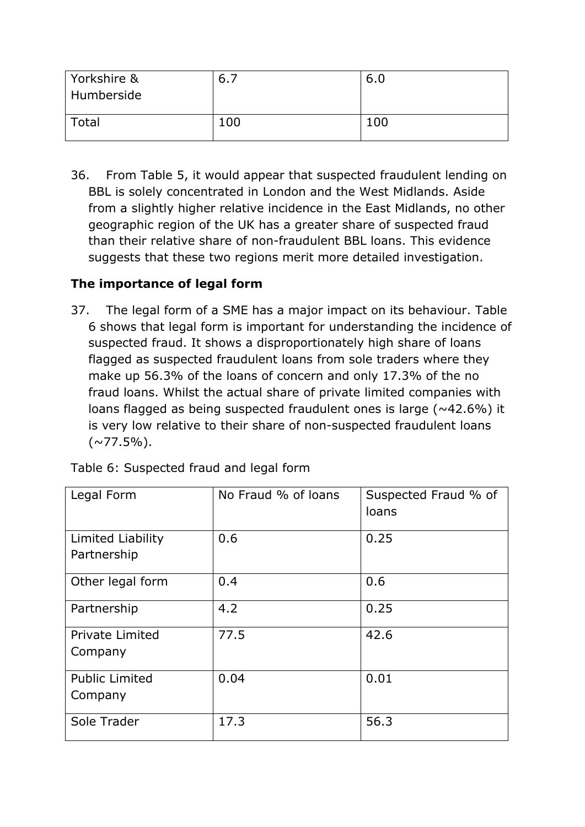| Yorkshire &<br>Humberside | 6., | 6.0 |
|---------------------------|-----|-----|
| Total                     | 100 | 100 |

36. From Table 5, it would appear that suspected fraudulent lending on BBL is solely concentrated in London and the West Midlands. Aside from a slightly higher relative incidence in the East Midlands, no other geographic region of the UK has a greater share of suspected fraud than their relative share of non-fraudulent BBL loans. This evidence suggests that these two regions merit more detailed investigation.

#### **The importance of legal form**

37. The legal form of a SME has a major impact on its behaviour. Table 6 shows that legal form is important for understanding the incidence of suspected fraud. It shows a disproportionately high share of loans flagged as suspected fraudulent loans from sole traders where they make up 56.3% of the loans of concern and only 17.3% of the no fraud loans. Whilst the actual share of private limited companies with loans flagged as being suspected fraudulent ones is large ( $\sim$ 42.6%) it is very low relative to their share of non-suspected fraudulent loans  $(\sim 77.5\%)$ .

| Legal Form                        | No Fraud % of loans | Suspected Fraud % of<br>loans |
|-----------------------------------|---------------------|-------------------------------|
| Limited Liability<br>Partnership  | 0.6                 | 0.25                          |
| Other legal form                  | 0.4                 | 0.6                           |
| Partnership                       | 4.2                 | 0.25                          |
| <b>Private Limited</b><br>Company | 77.5                | 42.6                          |
| <b>Public Limited</b><br>Company  | 0.04                | 0.01                          |
| Sole Trader                       | 17.3                | 56.3                          |

Table 6: Suspected fraud and legal form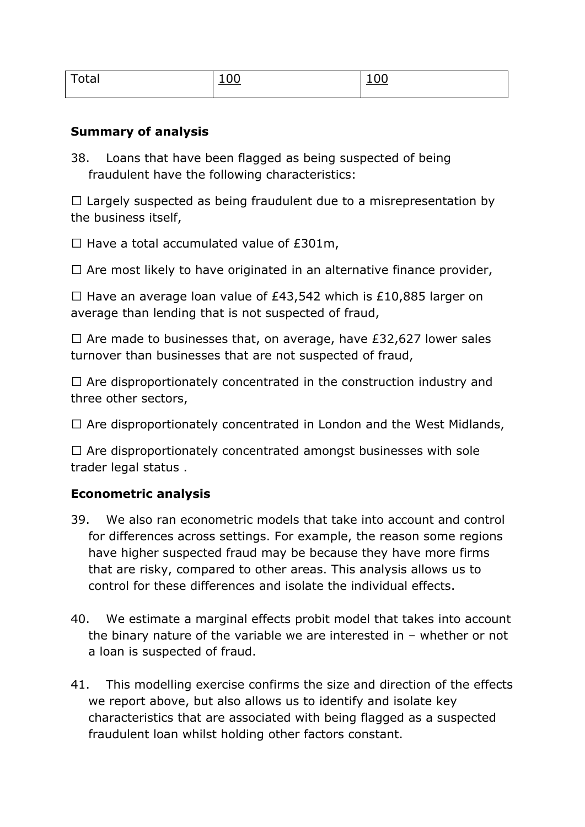| - - - | -<br><u>.</u> |  |
|-------|---------------|--|
|       |               |  |

#### **Summary of analysis**

38. Loans that have been flagged as being suspected of being fraudulent have the following characteristics:

 $\Box$  Largely suspected as being fraudulent due to a misrepresentation by the business itself,

 $\Box$  Have a total accumulated value of £301m,

 $\Box$  Are most likely to have originated in an alternative finance provider,

 $\Box$  Have an average loan value of £43,542 which is £10,885 larger on average than lending that is not suspected of fraud,

 $\Box$  Are made to businesses that, on average, have £32,627 lower sales turnover than businesses that are not suspected of fraud,

 $\Box$  Are disproportionately concentrated in the construction industry and three other sectors,

 $\Box$  Are disproportionately concentrated in London and the West Midlands,

 $\Box$  Are disproportionately concentrated amongst businesses with sole trader legal status .

## **Econometric analysis**

- 39. We also ran econometric models that take into account and control for differences across settings. For example, the reason some regions have higher suspected fraud may be because they have more firms that are risky, compared to other areas. This analysis allows us to control for these differences and isolate the individual effects.
- 40. We estimate a marginal effects probit model that takes into account the binary nature of the variable we are interested in – whether or not a loan is suspected of fraud.
- 41. This modelling exercise confirms the size and direction of the effects we report above, but also allows us to identify and isolate key characteristics that are associated with being flagged as a suspected fraudulent loan whilst holding other factors constant.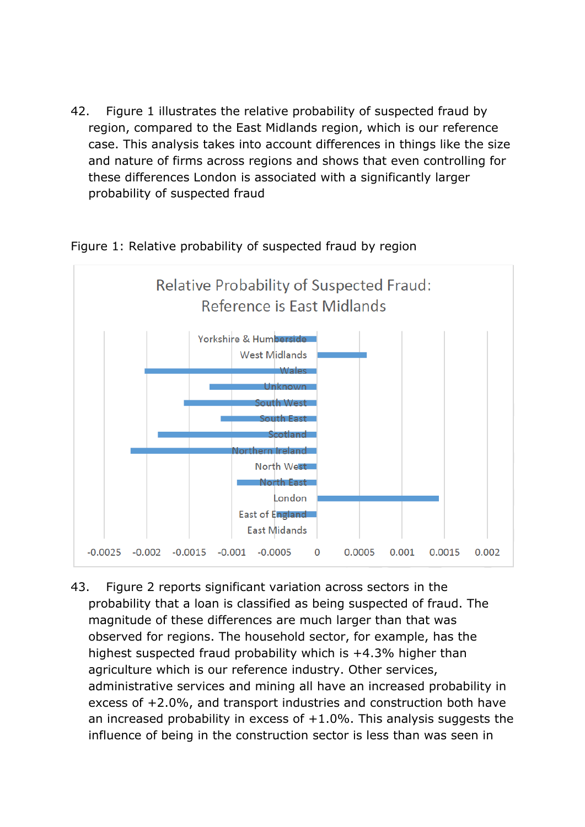42. Figure 1 illustrates the relative probability of suspected fraud by region, compared to the East Midlands region, which is our reference case. This analysis takes into account differences in things like the size and nature of firms across regions and shows that even controlling for these differences London is associated with a significantly larger probability of suspected fraud



#### Figure 1: Relative probability of suspected fraud by region

43. Figure 2 reports significant variation across sectors in the probability that a loan is classified as being suspected of fraud. The magnitude of these differences are much larger than that was observed for regions. The household sector, for example, has the highest suspected fraud probability which is +4.3% higher than agriculture which is our reference industry. Other services, administrative services and mining all have an increased probability in excess of +2.0%, and transport industries and construction both have an increased probability in excess of  $+1.0\%$ . This analysis suggests the influence of being in the construction sector is less than was seen in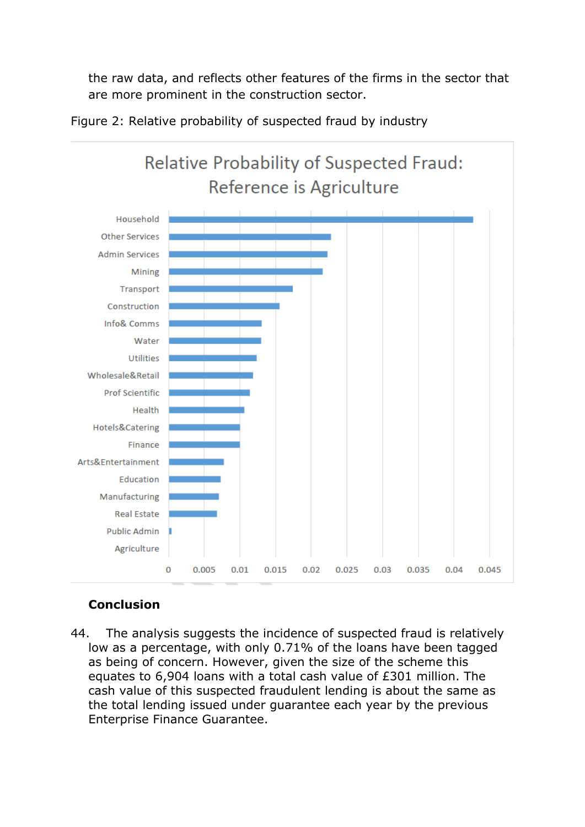the raw data, and reflects other features of the firms in the sector that are more prominent in the construction sector.



Figure 2: Relative probability of suspected fraud by industry

## **Conclusion**

44. The analysis suggests the incidence of suspected fraud is relatively low as a percentage, with only 0.71% of the loans have been tagged as being of concern. However, given the size of the scheme this equates to 6,904 loans with a total cash value of £301 million. The cash value of this suspected fraudulent lending is about the same as the total lending issued under guarantee each year by the previous Enterprise Finance Guarantee.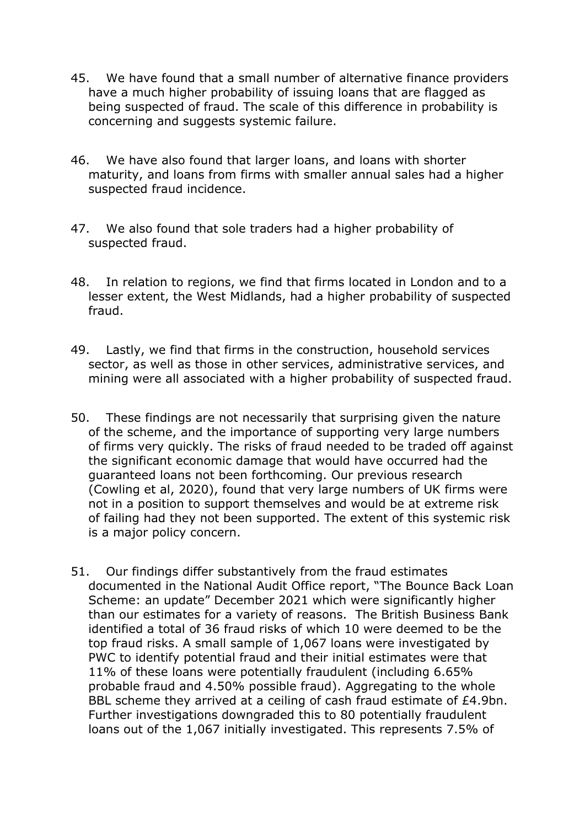- 45. We have found that a small number of alternative finance providers have a much higher probability of issuing loans that are flagged as being suspected of fraud. The scale of this difference in probability is concerning and suggests systemic failure.
- 46. We have also found that larger loans, and loans with shorter maturity, and loans from firms with smaller annual sales had a higher suspected fraud incidence.
- 47. We also found that sole traders had a higher probability of suspected fraud.
- 48. In relation to regions, we find that firms located in London and to a lesser extent, the West Midlands, had a higher probability of suspected fraud.
- 49. Lastly, we find that firms in the construction, household services sector, as well as those in other services, administrative services, and mining were all associated with a higher probability of suspected fraud.
- 50. These findings are not necessarily that surprising given the nature of the scheme, and the importance of supporting very large numbers of firms very quickly. The risks of fraud needed to be traded off against the significant economic damage that would have occurred had the guaranteed loans not been forthcoming. Our previous research (Cowling et al, 2020), found that very large numbers of UK firms were not in a position to support themselves and would be at extreme risk of failing had they not been supported. The extent of this systemic risk is a major policy concern.
- 51. Our findings differ substantively from the fraud estimates documented in the National Audit Office report, "The Bounce Back Loan Scheme: an update" December 2021 which were significantly higher than our estimates for a variety of reasons. The British Business Bank identified a total of 36 fraud risks of which 10 were deemed to be the top fraud risks. A small sample of 1,067 loans were investigated by PWC to identify potential fraud and their initial estimates were that 11% of these loans were potentially fraudulent (including 6.65% probable fraud and 4.50% possible fraud). Aggregating to the whole BBL scheme they arrived at a ceiling of cash fraud estimate of £4.9bn. Further investigations downgraded this to 80 potentially fraudulent loans out of the 1,067 initially investigated. This represents 7.5% of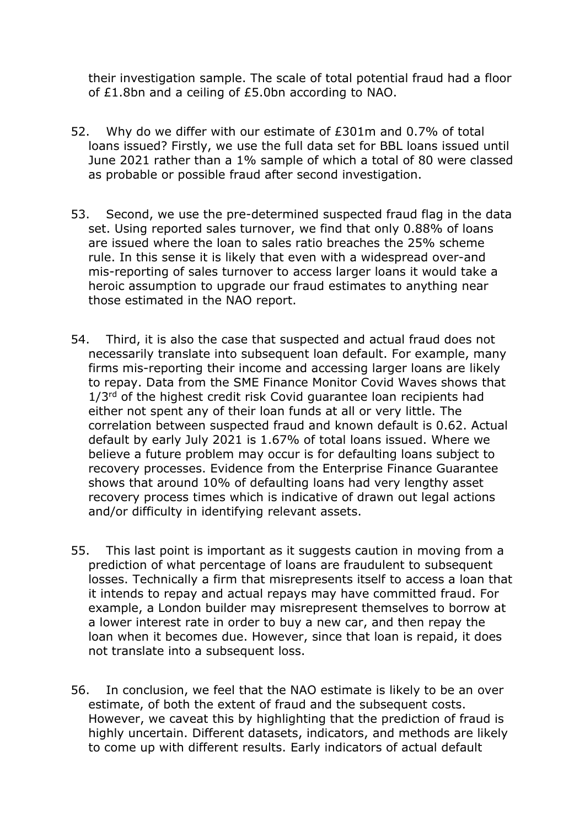their investigation sample. The scale of total potential fraud had a floor of £1.8bn and a ceiling of £5.0bn according to NAO.

- 52. Why do we differ with our estimate of £301m and 0.7% of total loans issued? Firstly, we use the full data set for BBL loans issued until June 2021 rather than a 1% sample of which a total of 80 were classed as probable or possible fraud after second investigation.
- 53. Second, we use the pre-determined suspected fraud flag in the data set. Using reported sales turnover, we find that only 0.88% of loans are issued where the loan to sales ratio breaches the 25% scheme rule. In this sense it is likely that even with a widespread over-and mis-reporting of sales turnover to access larger loans it would take a heroic assumption to upgrade our fraud estimates to anything near those estimated in the NAO report.
- 54. Third, it is also the case that suspected and actual fraud does not necessarily translate into subsequent loan default. For example, many firms mis-reporting their income and accessing larger loans are likely to repay. Data from the SME Finance Monitor Covid Waves shows that 1/3<sup>rd</sup> of the highest credit risk Covid guarantee loan recipients had either not spent any of their loan funds at all or very little. The correlation between suspected fraud and known default is 0.62. Actual default by early July 2021 is 1.67% of total loans issued. Where we believe a future problem may occur is for defaulting loans subject to recovery processes. Evidence from the Enterprise Finance Guarantee shows that around 10% of defaulting loans had very lengthy asset recovery process times which is indicative of drawn out legal actions and/or difficulty in identifying relevant assets.
- 55. This last point is important as it suggests caution in moving from a prediction of what percentage of loans are fraudulent to subsequent losses. Technically a firm that misrepresents itself to access a loan that it intends to repay and actual repays may have committed fraud. For example, a London builder may misrepresent themselves to borrow at a lower interest rate in order to buy a new car, and then repay the loan when it becomes due. However, since that loan is repaid, it does not translate into a subsequent loss.
- 56. In conclusion, we feel that the NAO estimate is likely to be an over estimate, of both the extent of fraud and the subsequent costs. However, we caveat this by highlighting that the prediction of fraud is highly uncertain. Different datasets, indicators, and methods are likely to come up with different results. Early indicators of actual default